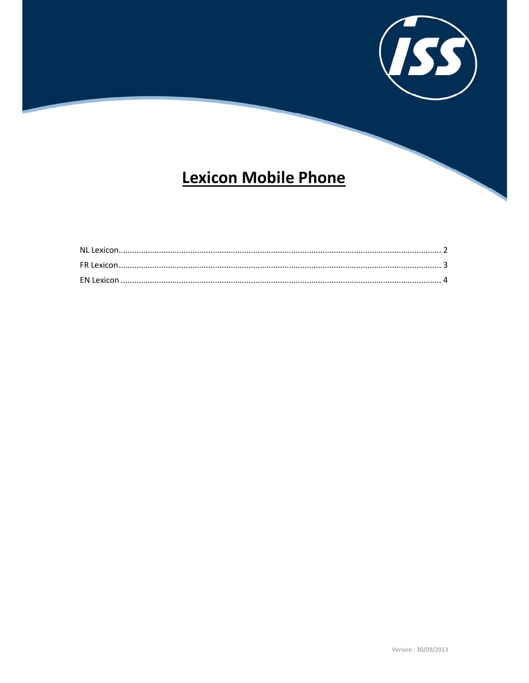

# **Lexicon Mobile Phone**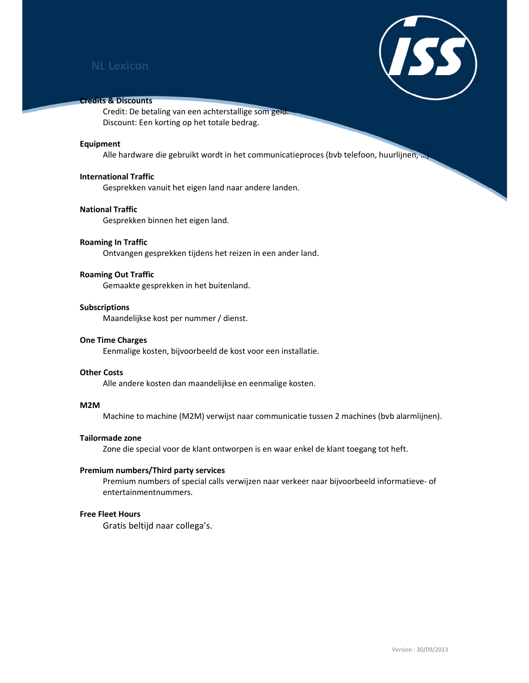

# Credits & Discounts

Credit: De betaling van een achterstallige som geld. Discount: Een korting op het totale bedrag.

#### Equipment

Alle hardware die gebruikt wordt in het communicatieproces (bvb telefoon, huurlijnen, ...

# International Traffic

Gesprekken vanuit het eigen land naar andere landen.

# National Traffic

Gesprekken binnen het eigen land.

# Roaming In Traffic

Ontvangen gesprekken tijdens het reizen in een ander land.

# Roaming Out Traffic

Gemaakte gesprekken in het buitenland.

### Subscriptions

Maandelijkse kost per nummer / dienst.

#### One Time Charges

Eenmalige kosten, bijvoorbeeld de kost voor een installatie.

#### Other Costs

Alle andere kosten dan maandelijkse en eenmalige kosten.

#### M2M

Machine to machine (M2M) verwijst naar communicatie tussen 2 machines (bvb alarmlijnen).

### Tailormade zone

Zone die special voor de klant ontworpen is en waar enkel de klant toegang tot heft.

#### Premium numbers/Third party services

Premium numbers of special calls verwijzen naar verkeer naar bijvoorbeeld informatieve- of entertainmentnummers.

# Free Fleet Hours

Gratis beltijd naar collega's.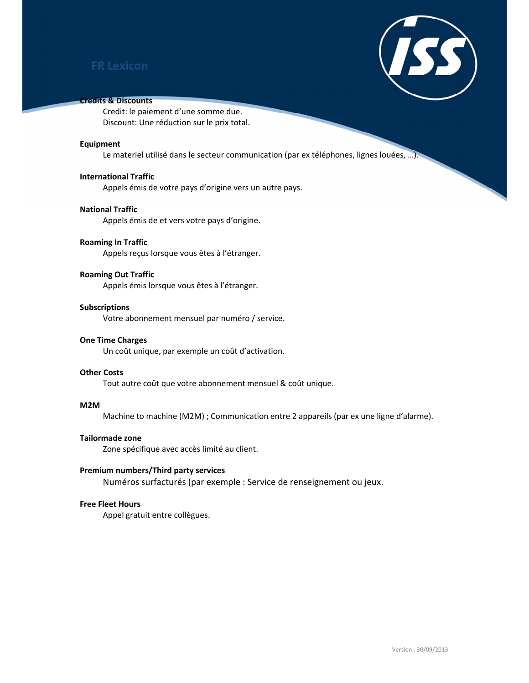

# Credits & Discounts

Credit: le paiement d'une somme due. Discount: Une réduction sur le prix total.

#### Equipment

Le materiel utilisé dans le secteur communication (par ex téléphones, lignes louées, ...).

# International Traffic

Appels émis de votre pays d'origine vers un autre pays.

# National Traffic

Appels émis de et vers votre pays d'origine.

# Roaming In Traffic

Appels reçus lorsque vous êtes à l'étranger.

# Roaming Out Traffic

Appels émis lorsque vous êtes à l'étranger.

## Subscriptions

Votre abonnement mensuel par numéro / service.

#### One Time Charges

Un coût unique, par exemple un coût d'activation.

# Other Costs

Tout autre coût que votre abonnement mensuel & coût unique.

#### M2M

Machine to machine (M2M) ; Communication entre 2 appareils (par ex une ligne d'alarme).

# Tailormade zone

Zone spécifique avec accès limité au client.

### Premium numbers/Third party services

Numéros surfacturés (par exemple : Service de renseignement ou jeux.

# Free Fleet Hours

Appel gratuit entre collègues.